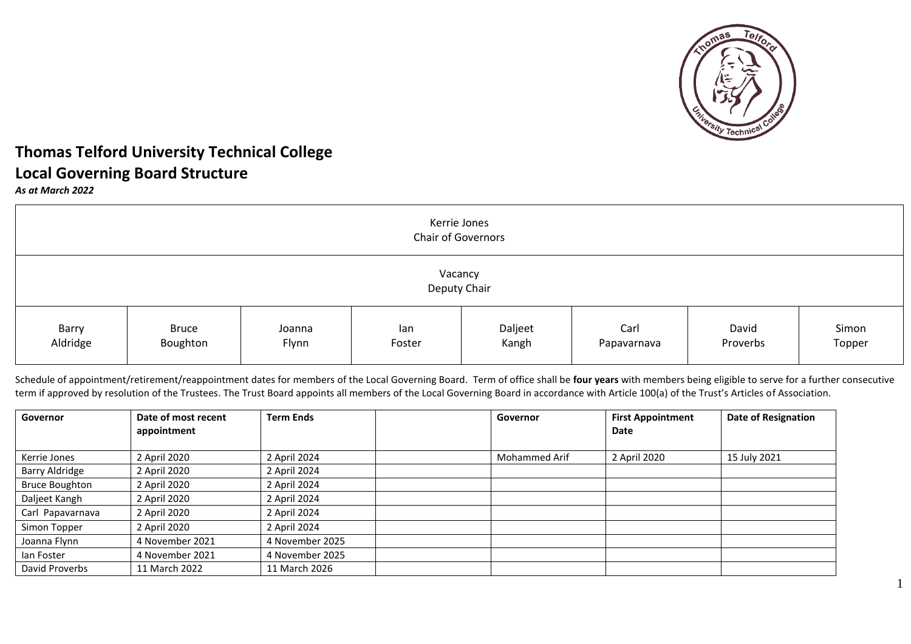

1

# **Thomas Telford University Technical College Local Governing Board Structure**

*As at March 2022*

| Kerrie Jones<br><b>Chair of Governors</b> |                          |                 |               |                  |                     |                   |                 |
|-------------------------------------------|--------------------------|-----------------|---------------|------------------|---------------------|-------------------|-----------------|
| Vacancy<br>Deputy Chair                   |                          |                 |               |                  |                     |                   |                 |
| Barry<br>Aldridge                         | <b>Bruce</b><br>Boughton | Joanna<br>Flynn | lan<br>Foster | Daljeet<br>Kangh | Carl<br>Papavarnava | David<br>Proverbs | Simon<br>Topper |

Schedule of appointment/retirement/reappointment dates for members of the Local Governing Board. Term of office shall be **four years** with members being eligible to serve for a further consecutive term if approved by resolution of the Trustees. The Trust Board appoints all members of the Local Governing Board in accordance with Article 100(a) of the Trust's Articles of Association.

| Governor              | Date of most recent | <b>Term Ends</b> | Governor             | <b>First Appointment</b> | <b>Date of Resignation</b> |
|-----------------------|---------------------|------------------|----------------------|--------------------------|----------------------------|
|                       | appointment         |                  |                      | Date                     |                            |
|                       |                     |                  |                      |                          |                            |
| Kerrie Jones          | 2 April 2020        | 2 April 2024     | <b>Mohammed Arif</b> | 2 April 2020             | 15 July 2021               |
| <b>Barry Aldridge</b> | 2 April 2020        | 2 April 2024     |                      |                          |                            |
| <b>Bruce Boughton</b> | 2 April 2020        | 2 April 2024     |                      |                          |                            |
| Daljeet Kangh         | 2 April 2020        | 2 April 2024     |                      |                          |                            |
| Carl Papavarnava      | 2 April 2020        | 2 April 2024     |                      |                          |                            |
| Simon Topper          | 2 April 2020        | 2 April 2024     |                      |                          |                            |
| Joanna Flynn          | 4 November 2021     | 4 November 2025  |                      |                          |                            |
| lan Foster            | 4 November 2021     | 4 November 2025  |                      |                          |                            |
| David Proverbs        | 11 March 2022       | 11 March 2026    |                      |                          |                            |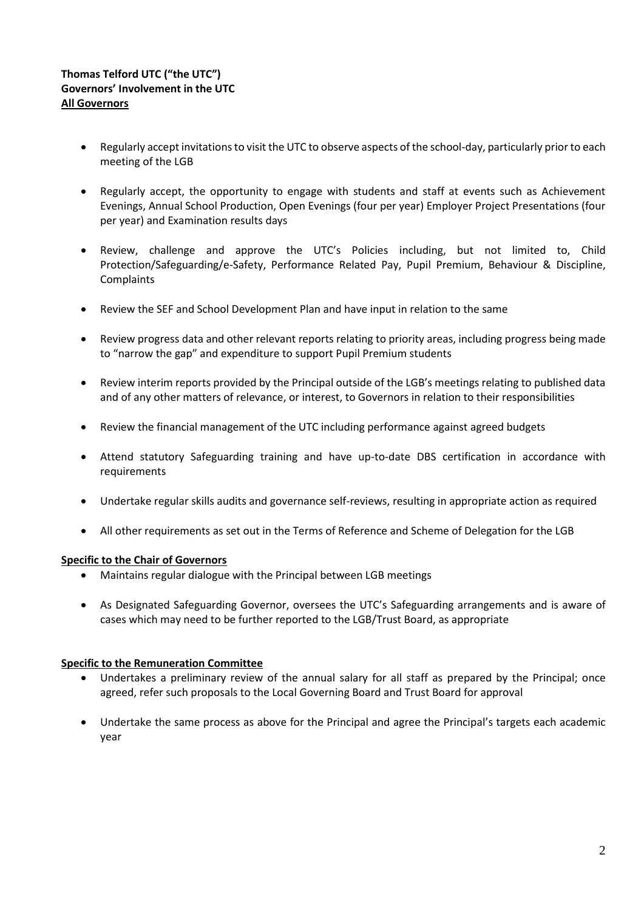## **Thomas Telford UTC ("the UTC") Governors' Involvement in the UTC All Governors**

- Regularly accept invitations to visit the UTC to observe aspects of the school-day, particularly prior to each meeting of the LGB
- Regularly accept, the opportunity to engage with students and staff at events such as Achievement Evenings, Annual School Production, Open Evenings (four per year) Employer Project Presentations (four per year) and Examination results days
- Review, challenge and approve the UTC's Policies including, but not limited to, Child Protection/Safeguarding/e-Safety, Performance Related Pay, Pupil Premium, Behaviour & Discipline, **Complaints**
- Review the SEF and School Development Plan and have input in relation to the same
- Review progress data and other relevant reports relating to priority areas, including progress being made to "narrow the gap" and expenditure to support Pupil Premium students
- Review interim reports provided by the Principal outside of the LGB's meetings relating to published data and of any other matters of relevance, or interest, to Governors in relation to their responsibilities
- Review the financial management of the UTC including performance against agreed budgets
- Attend statutory Safeguarding training and have up-to-date DBS certification in accordance with requirements
- Undertake regular skills audits and governance self-reviews, resulting in appropriate action as required
- All other requirements as set out in the Terms of Reference and Scheme of Delegation for the LGB

#### **Specific to the Chair of Governors**

- Maintains regular dialogue with the Principal between LGB meetings
- As Designated Safeguarding Governor, oversees the UTC's Safeguarding arrangements and is aware of cases which may need to be further reported to the LGB/Trust Board, as appropriate

#### **Specific to the Remuneration Committee**

- Undertakes a preliminary review of the annual salary for all staff as prepared by the Principal; once agreed, refer such proposals to the Local Governing Board and Trust Board for approval
- Undertake the same process as above for the Principal and agree the Principal's targets each academic year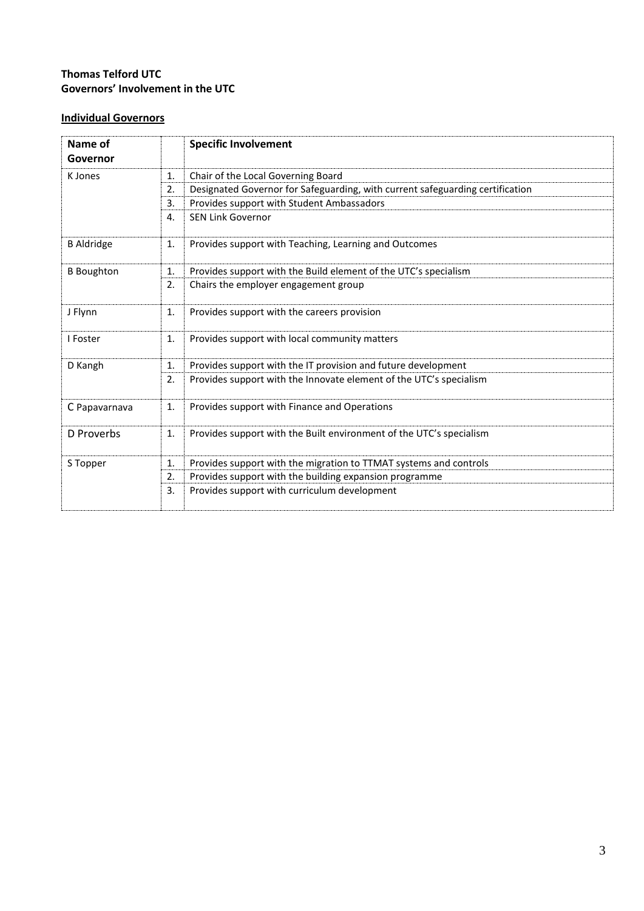# **Thomas Telford UTC Governors' Involvement in the UTC**

# **Individual Governors**

| Name of<br>Governor |    | <b>Specific Involvement</b>                                                   |  |  |
|---------------------|----|-------------------------------------------------------------------------------|--|--|
| K Jones             | 1. | Chair of the Local Governing Board                                            |  |  |
|                     | 2. | Designated Governor for Safeguarding, with current safeguarding certification |  |  |
|                     | 3. | Provides support with Student Ambassadors                                     |  |  |
|                     | 4. | <b>SEN Link Governor</b>                                                      |  |  |
| <b>B</b> Aldridge   | 1. | Provides support with Teaching, Learning and Outcomes                         |  |  |
| <b>B</b> Boughton   | 1. | Provides support with the Build element of the UTC's specialism               |  |  |
|                     | 2. | Chairs the employer engagement group                                          |  |  |
| J Flynn             | 1. | Provides support with the careers provision                                   |  |  |
| I Foster            | 1. | Provides support with local community matters                                 |  |  |
| D Kangh             | 1. | Provides support with the IT provision and future development                 |  |  |
|                     | 2. | Provides support with the Innovate element of the UTC's specialism            |  |  |
| C Papavarnava       | 1. | Provides support with Finance and Operations                                  |  |  |
| D Proverbs          | 1. | Provides support with the Built environment of the UTC's specialism           |  |  |
| S Topper            | 1. | Provides support with the migration to TTMAT systems and controls             |  |  |
|                     | 2. | Provides support with the building expansion programme                        |  |  |
|                     | 3. | Provides support with curriculum development                                  |  |  |